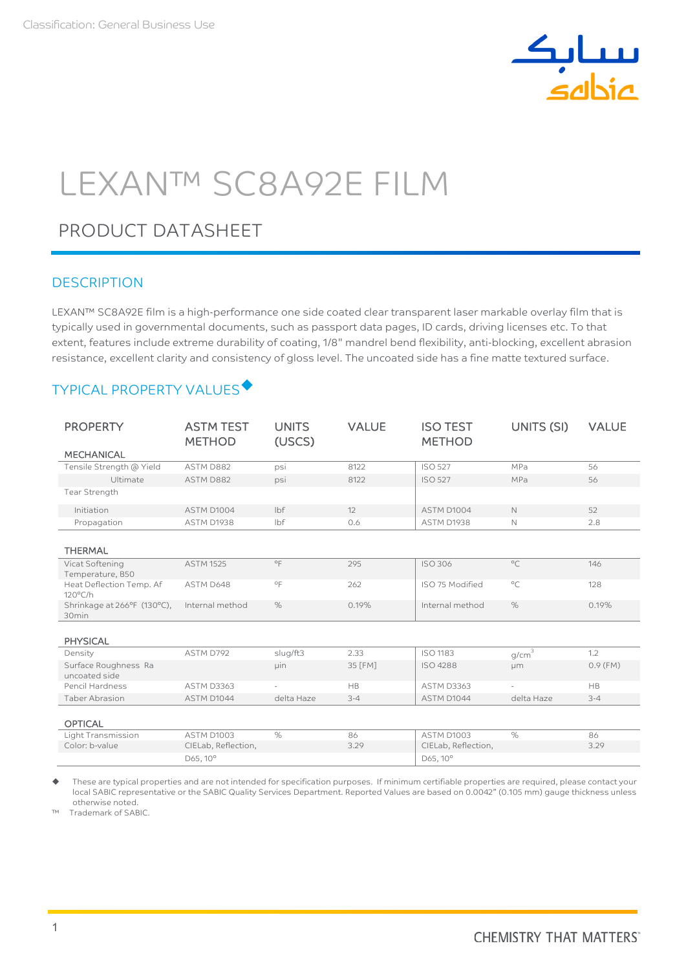

# LEXAN™ SC8A92E FILM

## PRODUCT DATASHEET

#### **DESCRIPTION**

LEXAN™ SC8A92E film is a high-performance one side coated clear transparent laser markable overlay film that is typically used in governmental documents, such as passport data pages, ID cards, driving licenses etc. To that extent, features include extreme durability of coating, 1/8" mandrel bend flexibility, anti-blocking, excellent abrasion resistance, excellent clarity and consistency of gloss level. The uncoated side has a fine matte textured surface.

### TYPICAL PROPERTY VALUES

| <b>PROPERTY</b>                                  | <b>ASTM TEST</b><br><b>METHOD</b> | <b>UNITS</b><br>(USCS) | <b>VALUE</b> | <b>ISO TEST</b><br><b>METHOD</b> | UNITS (SI)        | <b>VALUE</b> |
|--------------------------------------------------|-----------------------------------|------------------------|--------------|----------------------------------|-------------------|--------------|
| <b>MECHANICAL</b>                                |                                   |                        |              |                                  |                   |              |
| Tensile Strength @ Yield                         | ASTM D882                         | psi                    | 8122         | <b>ISO 527</b>                   | MPa               | 56           |
| Ultimate                                         | ASTM D882                         | psi                    | 8122         | <b>ISO 527</b>                   | MPa               | 56           |
| Tear Strength                                    |                                   |                        |              |                                  |                   |              |
| Initiation                                       | ASTM D1004                        | lbf                    | 12           | ASTM D1004                       | $\mathbb{N}$      | 52           |
| Propagation                                      | ASTM D1938                        | lbf                    | 0.6          | ASTM D1938                       | $\mathbb{N}$      | 2.8          |
| <b>THERMAL</b>                                   |                                   |                        |              |                                  |                   |              |
| Vicat Softening<br>Temperature, B50              | <b>ASTM 1525</b>                  | $^{\circ}$ F           | 295          | <b>ISO 306</b>                   | $^{\circ}C$       | 146          |
| Heat Deflection Temp. Af<br>$120^{\circ}$ C/h    | ASTM D648                         | $^{\circ}$ F           | 262          | ISO 75 Modified                  | $^{\circ}$ C      | 128          |
| Shrinkage at 266°F (130°C),<br>30 <sub>min</sub> | Internal method                   | $\%$                   | 0.19%        | Internal method                  | $\%$              | 0.19%        |
| <b>PHYSICAL</b>                                  |                                   |                        |              |                                  |                   |              |
| Density                                          | ASTM D792                         | slug/ft3               | 2.33         | <b>ISO 1183</b>                  | g/cm <sup>3</sup> | 1.2          |
| Surface Roughness Ra<br>uncoated side            |                                   | <b>uin</b>             | 35 [FM]      | <b>ISO 4288</b>                  | µm                | $0.9$ (FM)   |
| Pencil Hardness                                  | <b>ASTM D3363</b>                 |                        | <b>HB</b>    | ASTM D3363                       | ٠                 | <b>HB</b>    |
| <b>Taber Abrasion</b>                            | ASTM D1044                        | delta Haze             | $3 - 4$      | ASTM D1044                       | delta Haze        | $3 - 4$      |
| <b>OPTICAL</b>                                   |                                   |                        |              |                                  |                   |              |
| Light Transmission                               | <b>ASTM D1003</b>                 | $\%$                   | 86           | ASTM D1003                       | $\%$              | 86           |
| Color: b-value                                   | CIELab, Reflection,               |                        | 3.29         | CIELab, Reflection,              |                   | 3.29         |
|                                                  | D65, 10°                          |                        |              | D65, 10°                         |                   |              |

 These are typical properties and are not intended for specification purposes. If minimum certifiable properties are required, please contact your local SABIC representative or the SABIC Quality Services Department. Reported Values are based on 0.0042" (0.105 mm) gauge thickness unless otherwise noted.

Trademark of SABIC.